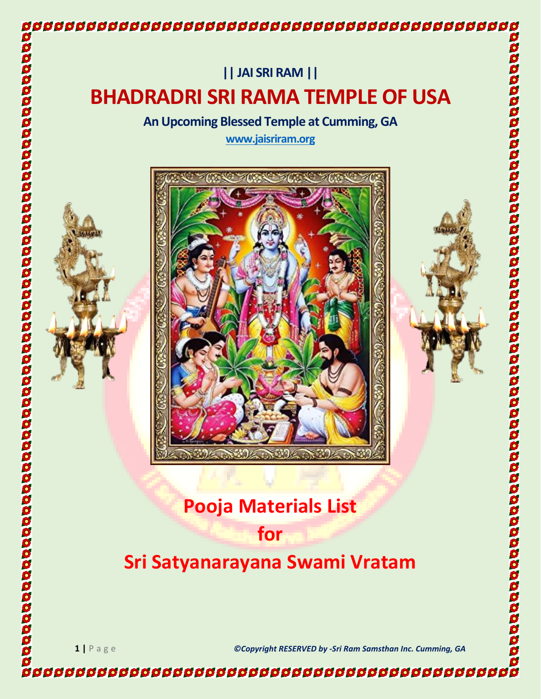

**1 |** P a g e *©Copyright RESERVED by -Sri Ram Samsthan Inc. Cumming, GA*

\$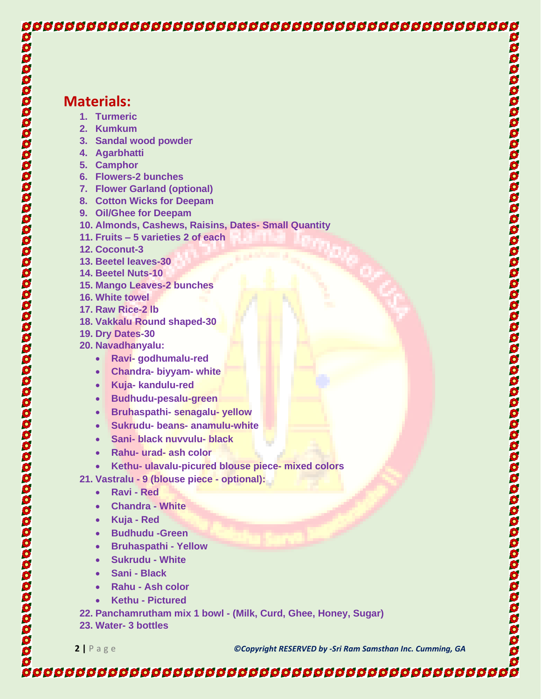## **Materials: 1. Turmeric 2. Kumkum 3. Sandal wood powder 4. Agarbhatti 5. Camphor 6. Flowers-2 bunches 7. Flower Garland (optional) 8. Cotton Wicks for Deepam 9. Oil/Ghee for Deepam 10. Almonds, Cashews, Raisins, Dates- Small Quantity 11. Fruits – 5 varieties 2 of each 12. Coconut-3 13. Beetel leaves-30 14. Beetel Nuts-10 15. Mango Leaves-2 bunches 16. White towel 17. Raw Rice-2 lb 18. Vakkalu Round shaped-30 19. Dry Dates-30 20. Navadhanyalu:** • **Ravi- godhumalu-red** • **Chandra- biyyam- white** • **Kuja- kandulu-red** • **Budhudu-pesalu-green** • **Bruhaspathi- senagalu- yellow** • **Sukrudu- beans- anamulu-white** • **Sani- black nuvvulu- black** • **Rahu- urad- ash color** • **Kethu- ulavalu-picured blouse piece- mixed colors 21. Vastralu - 9 (blouse piece - optional):** • **Ravi - Red**  • **Chandra - White** • **Kuja - Red** • **Budhudu -Green** • **Bruhaspathi - Yellow** • **Sukrudu - White**

- **Sani - Black**
- **Rahu - Ash color**
- **Kethu - Pictured**
- **22. Panchamrutham mix 1 bowl - (Milk, Curd, Ghee, Honey, Sugar)**
- **23. Water- 3 bottles**
- 

**2 |** P a g e *©Copyright RESERVED by -Sri Ram Samsthan Inc. Cumming, GA*